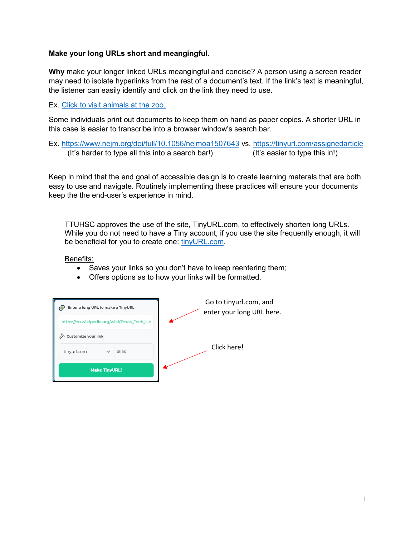## **Make your long URLs short and meangingful.**

**Why** make your longer linked URLs meangingful and concise? A person using a screen reader may need to isolate hyperlinks from the rest of a document's text. If the link's text is meaningful, the listener can easily identify and click on the link they need to use.

Ex. [Click to visit animals at the zoo.](https://bronxzoo.com/)

Some individuals print out documents to keep them on hand as paper copies. A shorter URL in this case is easier to transcribe into a browser window's search bar.

Ex. <https://www.nejm.org/doi/full/10.1056/nejmoa1507643> vs.<https://tinyurl.com/assignedarticle> (It's harder to type all this into a search bar!) (It's easier to type this in!)

Keep in mind that the end goal of accessible design is to create learning materals that are both easy to use and navigate. Routinely implementing these practices will ensure your documents keep the the end-user's experience in mind.

TTUHSC approves the use of the site, TinyURL.com, to effectively shorten long URLs. While you do not need to have a Tiny account, if you use the site frequently enough, it will be beneficial for you to create one: [tinyURL.com.](https://tinyurl.com/app)

Benefits:

- Saves your links so you don't have to keep reentering them;
- Offers options as to how your links will be formatted.

| Enter a long URL to make a TinyURL |              |                                             | Go to tinyurl.com, and<br>enter your long URL here. |             |  |
|------------------------------------|--------------|---------------------------------------------|-----------------------------------------------------|-------------|--|
|                                    |              | https://en.wikipedia.org/wiki/Texas_Tech_Un |                                                     |             |  |
| <b>Customize your link</b>         |              |                                             |                                                     |             |  |
| tinyurl.com                        | $\checkmark$ | alias                                       |                                                     | Click here! |  |
| <b>Make TinyURL!</b>               |              |                                             |                                                     |             |  |
|                                    |              |                                             |                                                     |             |  |